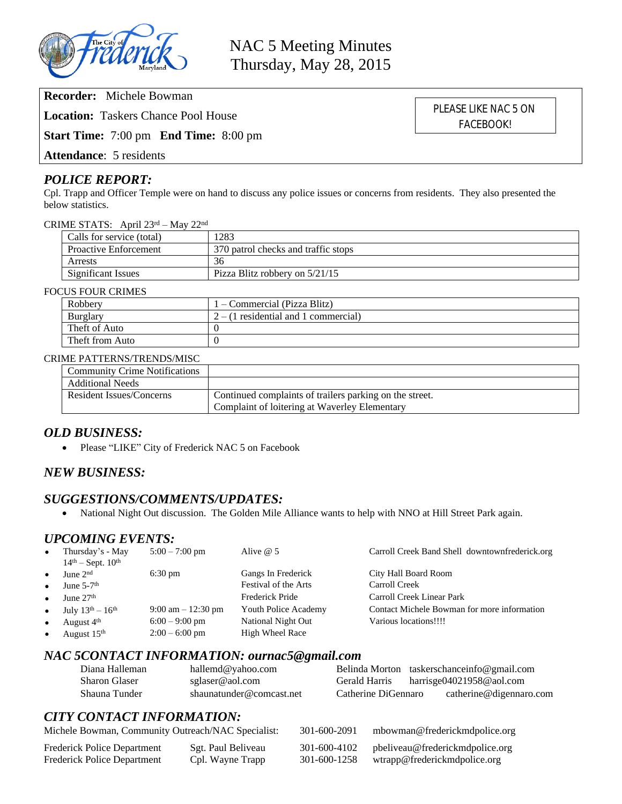

**Recorder:** Michele Bowman

**Location:** Taskers Chance Pool House

**Start Time:** 7:00 pm **End Time:** 8:00 pm

**Attendance**: 5 residents

### *POLICE REPORT:*

Cpl. Trapp and Officer Temple were on hand to discuss any police issues or concerns from residents. They also presented the below statistics.

CRIME STATS: April 23rd – May 22nd

| Calls for service (total)    | 1283                                |  |
|------------------------------|-------------------------------------|--|
| <b>Proactive Enforcement</b> | 370 patrol checks and traffic stops |  |
| Arrests                      | 36                                  |  |
| <b>Significant Issues</b>    | Pizza Blitz robbery on 5/21/15      |  |

#### FOCUS FOUR CRIMES

| Robbery         | 1 – Commercial (Pizza Blitz)           |
|-----------------|----------------------------------------|
| <b>Burglary</b> | $2 - (1$ residential and 1 commercial) |
| Theft of Auto   |                                        |
| Theft from Auto |                                        |

#### CRIME PATTERNS/TRENDS/MISC

| <b>Community Crime Notifications</b> |                                                         |
|--------------------------------------|---------------------------------------------------------|
| <b>Additional Needs</b>              |                                                         |
| Resident Issues/Concerns             | Continued complaints of trailers parking on the street. |
|                                      | Complaint of loitering at Waverley Elementary           |

## *OLD BUSINESS:*

• Please "LIKE" City of Frederick NAC 5 on Facebook

## *NEW BUSINESS:*

### *SUGGESTIONS/COMMENTS/UPDATES:*

National Night Out discussion. The Golden Mile Alliance wants to help with NNO at Hill Street Park again.

### *UPCOMING EVENTS:*

| $\bullet$ | Thursday's - May<br>$14th - Sept. 10th$ | $5:00 - 7:00$ pm                     | Alive $@$ 5            | Carroll Creek Band Shell downtownfrederick.org |
|-----------|-----------------------------------------|--------------------------------------|------------------------|------------------------------------------------|
| $\bullet$ | June $2nd$                              | $6:30 \text{ pm}$                    | Gangs In Frederick     | City Hall Board Room                           |
| $\bullet$ | June $5-7$ <sup>th</sup>                |                                      | Festival of the Arts   | Carroll Creek                                  |
| $\bullet$ | June $27th$                             |                                      | Frederick Pride        | Carroll Creek Linear Park                      |
| $\bullet$ | July $13^{th} - 16^{th}$                | $9:00 \text{ am} - 12:30 \text{ pm}$ | Youth Police Academy   | Contact Michele Bowman for more information    |
| $\bullet$ | August 4 <sup>th</sup>                  | $6:00 - 9:00$ pm                     | National Night Out     | Various locations!!!!                          |
| $\bullet$ | August 15 <sup>th</sup>                 | $2:00 - 6:00$ pm                     | <b>High Wheel Race</b> |                                                |

## *NAC 5CONTACT INFORMATION: ournac5@gmail.com*

| Diana Halleman | hallemd@yahoo.com        |                     | Belinda Morton taskerschanceinfo@gmail.com |
|----------------|--------------------------|---------------------|--------------------------------------------|
| Sharon Glaser  | sglaser@aol.com          | Gerald Harris       | harrisge04021958@aol.com                   |
| Shauna Tunder  | shaunatunder@comcast.net | Catherine DiGennaro | catherine@digennaro.com                    |

# *CITY CONTACT INFORMATION:*

| Michele Bowman, Community Outreach/NAC Specialist: |                    | 301-600-2091 | mbowman@frederickmdpolice.org   |
|----------------------------------------------------|--------------------|--------------|---------------------------------|
| Frederick Police Department                        | Sgt. Paul Beliveau | 301-600-4102 | pbeliveau@frederickmdpolice.org |
| Frederick Police Department                        | Cpl. Wayne Trapp   | 301-600-1258 | wtrapp@frederickmdpolice.org    |

PLEASE LIKE NAC 5 ON FACEBOOK!